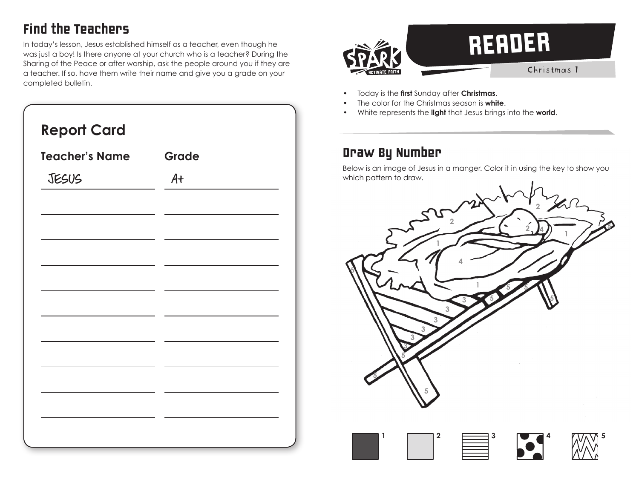## Find the Teachers

In today's lesson, Jesus established himself as a teacher, even though he was just a boy! Is there anyone at your church who is a teacher? During the Sharing of the Peace or after worship, ask the people around you if they are a teacher. If so, have them write their name and give you a grade on your completed bulletin.

| <b>Teacher's Name</b> | Grade |  |
|-----------------------|-------|--|
| JESUS                 | At    |  |
|                       |       |  |
|                       |       |  |
|                       |       |  |
|                       |       |  |
|                       |       |  |
|                       |       |  |
|                       |       |  |
|                       |       |  |
|                       |       |  |
|                       |       |  |



- Today is the **first** Sunday after **Christmas**.
- The color for the Christmas season is **white**.
- White represents the **light** that Jesus brings into the **world**.

## Draw By Number

Below is an image of Jesus in a manger. Color it in using the key to show you which pattern to draw.